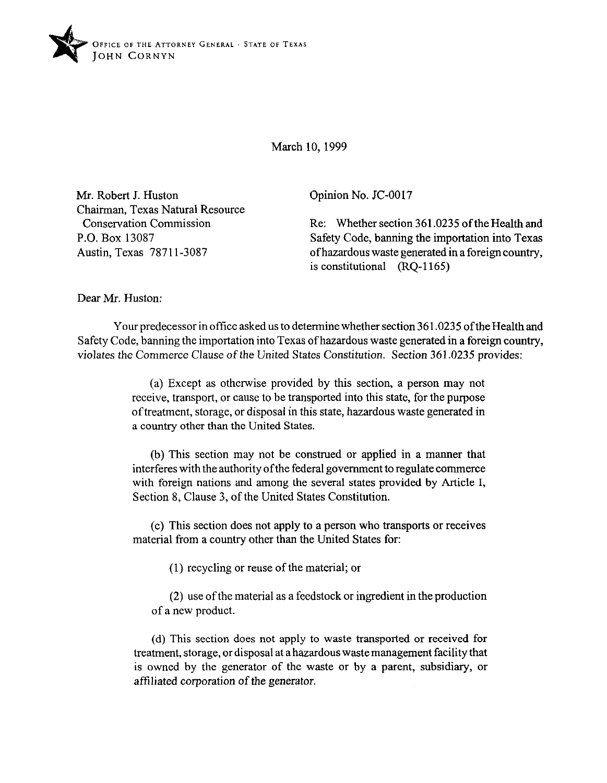

March 10, 1999

Mr. Robert J. Huston Chairman, Texas Natural Resource Conservation Commission P.O. Box 13087 Austin, Texas 78711-3087

Opinion No. JC-0017

Re: Whether section 361.0235 of the Health and Safety Code, banning the importation into Texas ofhazardous waste generated in a foreign country, is constitutional  $(1165)$ 

Dear Mr. Huston:

Your predecessor in office asked us to determine whether section 36 1.0235 of the Health and Safety Code, banning the importation into Texas ofhazardous waste generated in a foreign country, violates the Commerce Clause of the United States Constitution. Section 361.0235 provides:

> (a) Except as otherwise provided by this section, a person may not receive, transport, or cause to be transported into this state, for the purpose of treatment, storage, or disposal in this state, hazardous waste generated in a country other than the United States.

> (b) This section may not be construed or applied in a manner that interferes with the authority of the federal government to regulate commerce with foreign nations and among the several states provided by Article I, Section 8, Clause 3, of the United States Constitution.

> (c) This section does not apply to a person who transports or receives material from a country other than the United States for:

> > (1) recycling or reuse of the material; or

(2) use of the material as a feedstock or ingredient in the production of a new product.

(d) This section does not apply to waste transported or received for treatment, storage, or disposal at a hazardous waste management facility that is owned by the generator of the waste or by a parent, subsidiary, or affiliated corporation of the generator.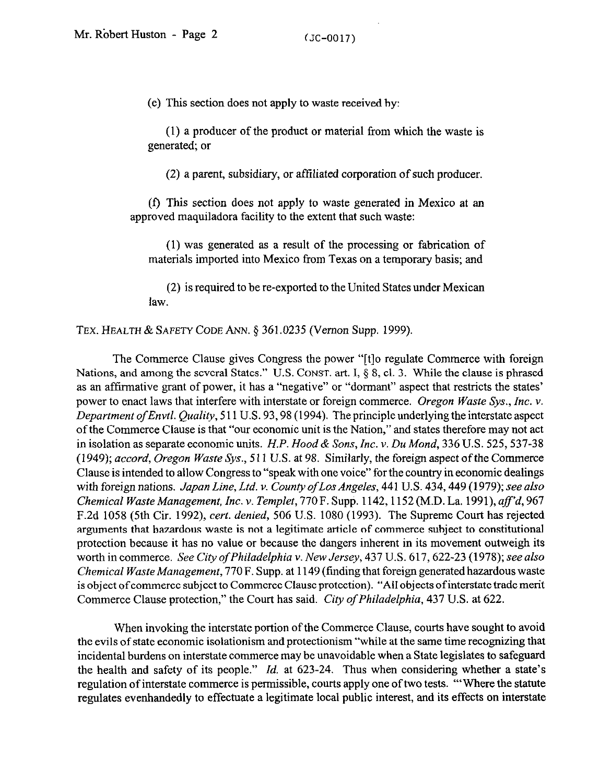(e) This section does not apply to waste received by:

(1) a producer of the product or material from which the waste is generated, or

(2) a parent, subsidiary, or affiliated corporation of such producer.

(f) This section does not apply to waste generated in Mexico at an approved maquiladora facility to the extent that such waste:

(1) was generated as a result of the processing or fabrication of materials imported into Mexico from Texas on a temporary basis; and

(2) is required to be re-exported to the United States under Mexican law.

TEX. HEALTH & SAFETY CODE ANN. § 361.0235 (Vernon Supp. 1999).

The Commerce Clause gives Congress the power "[t]o regulate Commerce with foreign Nations, and among the several States." U.S. CONST. art. I,  $\S$ , 8, cl. 3. While the clause is phrased as an affirmative grant of power, it has a "negative" or "dormant" aspect that restricts the states' power to enact laws that interfere with interstate or foreign commerce. Oregon Waste Sys., Inc. v. *Department ofEnvt1. Quality,* 5 11 U.S. 93,98 (1994). The principle underlying the interstate aspect of the Commerce Clause is that "our economic unit is the Nation," and states therefore may not act in isolation as separate economic units. *H.P. Hood & Sons, Inc. v. Du Mond*, 336 U.S. 525, 537-38 *(1949); accord, Oregon Waste* Sys., 511 U.S. at 98. Similarly, the foreign aspect of the Commerce Clause is intended to allow Congress to "speak with one voice" for the country in economic dealings with foreign nations. *Japan Line, Ltd. v. CountyofLos Angeles,* 441 U.S. 434,449 (1979); see also *Chemical Waste Management, Inc. v. Templet, 770 F. Supp. 1142, 1152 (M.D. La. 1991), aff'd, 967* F.2d 1058 (5th Cir. 1992) *cert. denied,* 506 U.S. 1080 (1993). The Supreme Court has rejected arguments that hazardous waste is not a legitimate article of commerce subject to constitutional protection because it has no value or because the dangers inherent in its movement outweigh its worth in commerce. *See City of Philadelphia v. New Jersey*, 437 U.S. 617, 622-23 (1978); see also *Chemical Waste Management,* 770 F. Supp. at 1149 (finding that foreign generated hazardous waste is object of commerce subject to Commerce Clause protection). "All objects of interstate trade merit Commerce Clause protection," the Court has said. *City of Philadelphia, 437* U.S. at 622.

When invoking the interstate portion of the Commerce Clause, courts have sought to avoid the evils of state economic isolationism and protectionism "while at the same time recognizing that incidental burdens on interstate commerce may be unavoidable when a State legislates to safeguard the health and safety of its people." *Id.* at 623-24. Thus when considering whether a state's regulation of interstate commerce is permissible, courts apply one of two tests. "'Where the statute regulates evenhandedly to effectuate a legitimate local public interest, and its effects on interstate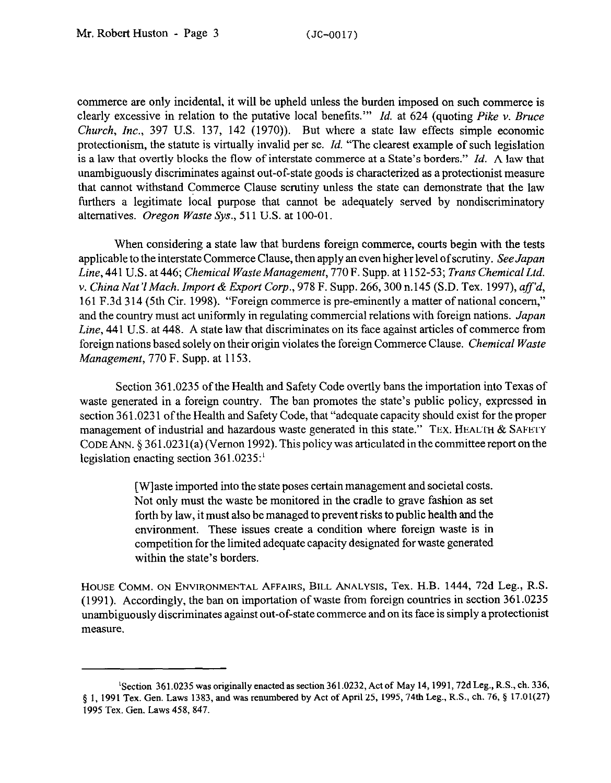commerce are only incidental, it will be upheld unless the burden imposed on such commerce is clearly excessive in relation to the putative local benefits."' *Id.* at 624 (quoting *Pike v. Bruce Church, Inc.,* 397 U.S. 137, 142 (1970)). But where a state law effects simple economic protectionism, the statute is virtually invalid per se. *Id.* "The clearest example of such legislation is a law that overtly blocks the flow of interstate commerce at a State's borders." *Id.* A law that unambiguously discriminates against out-of-state goods is characterized as a protectionist measure that cannot withstand Commerce Clause scrutiny unless the state can demonstrate that the law furthers a legitimate local purpose that cannot be adequately served by nondiscriminatory alternatives. *Oregon Waste Sys.,* 511 U.S. at 100-01.

When considering a state law that burdens foreign commerce, courts begin with the tests applicable to the interstate Commerce Clause, then apply an even higher level of scrutiny. *See Japan Line,* 441 U.S. at *446; Chemical Waste Management, 770* F. Supp. at 1152-53; *Trans Chemical Ltd. v. China Nat'IMach. Import & Export Corp., 978* F. Supp. 266,300 n.145 (S.D. Tex. 1997), aff *d,*  161 F.3d 3 14 (5th Cir. 1998). "Foreign commerce is pre-eminently a matter of national concern," and the country must act uniformly in regulating commercial relations with foreign nations. *Japan Line,* 441 U.S. at 448. A state law that discriminates on its face against articles of commerce from foreign nations based solely on their origin violates the foreign Commerce Clause. *Chemical Waste Management, 770* F. Supp. at 1153.

Section 361.0235 of the Health and Safety Code overtly bans the importation into Texas of waste generated in a foreign country. The ban promotes the state's public policy, expressed in section 361.0231 of the Health and Safety Code, that "adequate capacity should exist for the proper management of industrial and hazardous waste generated in this state." **TEX. HEALTH & SAFETY CODE** ANN. 5 361.023 l(a) (Vernon 1992). This policy was articulated in thecommitteereport onthe legislation enacting section 361.0235:'

> [Wlaste imported into the state poses certain management and societal costs. Not only must the waste be monitored in the cradle to grave fashion as set forth by law, it must also be managed to prevent risks to public health and the environment. These issues create a condition where foreign waste is in competition for the limited adequate capacity designated for waste generated within the state's borders.

**HOUSE COMM. ON ENVIRONMENTAL AFFAIRS, BILL ANALYSIS, Tex. H.B. 1444, 72d Leg., R.S.**  (1991). Accordingly, the ban on importation of waste from foreign countries in section 361.0235 unambiguously discriminates against out-of-state commerce and on its face is simply a protectionist measure.

<sup>&</sup>lt;sup>1</sup>Section 361.0235 was originally enacted as section 361.0232, Act of May 14, 1991, 72d Leg., R.S., ch. 336, § 1, 1991 Tex. Gen. Laws 1383, and was renumbered by Act of April 25, 1995, 74th Leg., R.S., ch. 76, § 17.01(27) 1995 Tex. Gen. Laws 458,847.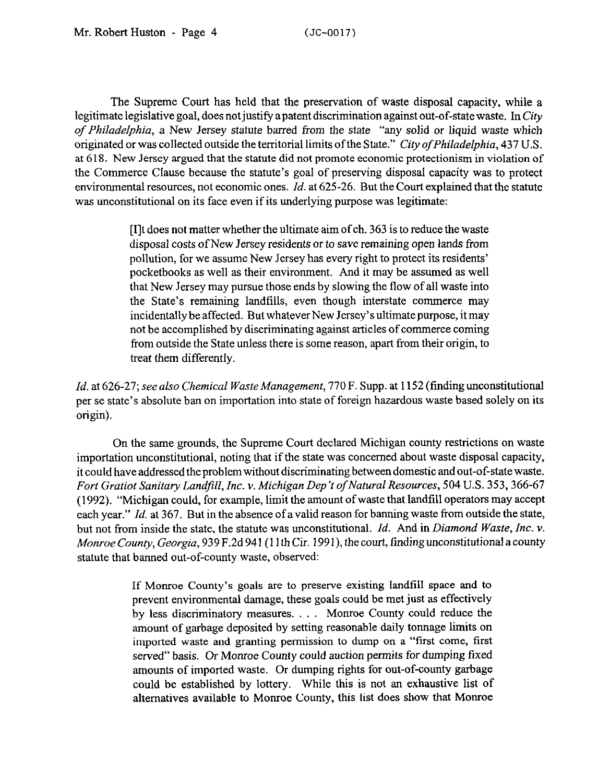The Supreme Court has held that the preservation of waste disposal capacity, while a legitimate legislative goal, does not justify a patent discrimination against out-of-state waste. In City *of Philadelphia,* a New Jersey statute barred from the state "any solid *or* liquid waste which originated or was collected outside the territorial limits ofthe State." *City ofphiladelphia, 437* U.S. at 618. New Jersey argued that the statute did not promote economic protectionism in violation of the Commerce Clause because the statute's goal of preserving disposal capacity was to protect environmental resources, not economic ones. *Id.* at 625-26. But the Court explained that the statute was unconstitutional on its face even if its underlying purpose was legitimate:

> [I]t does not matter whether the ultimate aim of ch. 363 is to reduce the waste disposal costs of New Jersey residents or to save remaining open lands from pollution, for we assume New Jersey has every right to protect its residents' pocketbooks as well as their environment. And it may be assumed as well that New Jersey may pursue those ends by slowing the flow of all waste into the State's remaining landfills, even though interstate commerce may incidentally be affected. But whatever New Jersey's ultimate purpose, it may not be accomplished by discriminating against articles of commerce coming from outside the State unless there is some reason, apart from their origin, to treat them differently.

*Id.* at *626-27; see also Chemical Waste Management,* 770 F. Supp. at 1152 (finding unconstitutional per se state's absolute ban on importation into state of foreign hazardous waste based solely on its origin).

On the same grounds, the Supreme Court declared Michigan county restrictions on waste importation unconstitutional, noting that if the state was concerned about waste disposal capacity, it could have addressed the problem without discriminating between domestic and out-of-state waste. *Fort Gratiot Sanitary Landfill, Inc. v. Michigan Dep 't of Natural Resources, 504* U.S. 353,366-67 (1992). "Michigan could, for example, limit the amount of waste that landfill operators may accept each year." *Id.* at 367. But in the absence of a valid reason for banning waste from outside the state, but not from inside the state, the statute was unconstitutional. *Id.* And in *Diamond Waste, Inc. v. Monroe County, Georgia, 939 F.2d 941 (11th Cir. 1991), the court, finding unconstitutional a county* statute that banned out-of-county waste, observed:

> If Monroe County's goals are to preserve existing landfill space and to prevent environmental damage, these goals could be met just as effectively by less discriminatory measures. . . . Monroe County could reduce the amount of garbage deposited by setting reasonable daily tonnage limits on imported waste and granting permission to dump on a "first come, first served" basis. Or Monroe County could auction permits for dumping fixed amounts of imported waste. Or dumping rights for out-of-county garbage could be established by lottery. While this is not an exhaustive list of alternatives available to Monroe County, this list does show that Monroe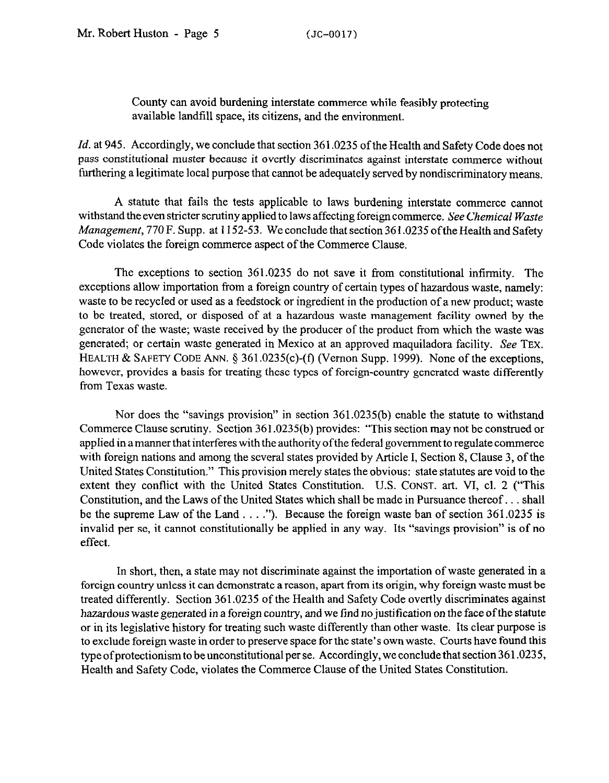County can avoid burdening interstate commerce while feasibly protecting available landfill space, its citizens, and the environment.

*Id.* at 945. Accordingly, we conclude that section 361.0235 of the Health and Safety Code does not pass constitutional muster because it overtly discriminates against interstate commerce without furthering a legitimate local purpose that cannot be adequately served by nondiscriminatory means.

A statute that fails the tests applicable to laws burdening interstate commerce cannot withstand the even stricter scrutiny applied to laws affecting foreign commerce. See *Chemical Waste Management,* 770 F. Supp. at 1152-53. We conclude that section 361.0235 ofthe Health and Safety Code violates the foreign commerce aspect of the Commerce Clause.

The exceptions to section 361.0235 do not save it from constitutional infirmity. The exceptions allow importation from a foreign country of certain types of hazardous waste, namely: waste to be recycled or used as a feedstock or ingredient in the production of a new product; waste to be treated, stored, or disposed of at a hazardous waste management facility owned by the generator of the waste; waste received by the producer of the product from which the waste was generated; or certain waste generated in Mexico at an approved maquiladora facility. See **TEX. HEALTH & SAFETY CODE ANN.** 5 361.0235(c)-(f) (Vernon Supp. 1999). None of the exceptions, however, provides a basis for treating these types of foreign-country generated waste differently from Texas waste.

Nor does the "savings provision" in section 361.0235(b) enable the statute to withstand Commerce Clause scrutiny. Section 361,0235(b) provides: "This section may not be construed or applied in a manner that interferes with the authority ofthe federal government to regulate commerce with foreign nations and among the several states provided by Article I, Section 8, Clause 3, of the United States Constitution." This provision merely states the obvious: state statutes are void to the extent they conflict with the United States Constitution. U.S. **CONST.** art. VI, cl. 2 ("This Constitution, and the Laws of the United States which shall be made in Pursuance thereof... shall be the supreme Law of the Land  $\dots$ ."). Because the foreign waste ban of section 361.0235 is invalid per se, it cannot constitutionally be applied in any way. Its "savings provision" is of no effect.

In short, then, a state may not discriminate against the importation of waste generated in a foreign country unless it can demonstrate a reason, apart from its origin, why foreign waste must be treated differently. Section 361.0235 of the Health and Safety Code overtly discriminates against hazardous waste generated in a foreign country, and we find no justification on the face of the statute or in its legislative history for treating such waste differently than other waste. Its clear purpose is to exclude foreign waste in order to preserve space for the state's own waste. Courts have found this type of protectionism to be unconstitutional per se. Accordingly, we conclude that section 361.0235, Health and Safety Code, violates the Commerce Clause of the United States Constitution.